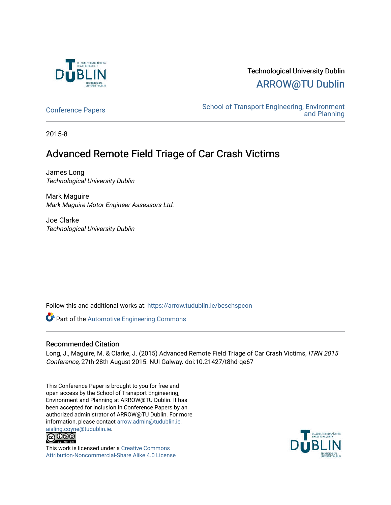

## Technological University Dublin [ARROW@TU Dublin](https://arrow.tudublin.ie/)

[Conference Papers](https://arrow.tudublin.ie/beschspcon) [School of Transport Engineering, Environment](https://arrow.tudublin.ie/beschsp)  [and Planning](https://arrow.tudublin.ie/beschsp) 

2015-8

# Advanced Remote Field Triage of Car Crash Victims

James Long Technological University Dublin

Mark Maguire Mark Maguire Motor Engineer Assessors Ltd.

Joe Clarke Technological University Dublin

Follow this and additional works at: [https://arrow.tudublin.ie/beschspcon](https://arrow.tudublin.ie/beschspcon?utm_source=arrow.tudublin.ie%2Fbeschspcon%2F23&utm_medium=PDF&utm_campaign=PDFCoverPages) 

Part of the [Automotive Engineering Commons](http://network.bepress.com/hgg/discipline/1319?utm_source=arrow.tudublin.ie%2Fbeschspcon%2F23&utm_medium=PDF&utm_campaign=PDFCoverPages) 

### Recommended Citation

Long, J., Maguire, M. & Clarke, J. (2015) Advanced Remote Field Triage of Car Crash Victims, ITRN 2015 Conference, 27th-28th August 2015. NUI Galway. doi:10.21427/t8hd-qe67

This Conference Paper is brought to you for free and open access by the School of Transport Engineering, Environment and Planning at ARROW@TU Dublin. It has been accepted for inclusion in Conference Papers by an authorized administrator of ARROW@TU Dublin. For more information, please contact [arrow.admin@tudublin.ie,](mailto:arrow.admin@tudublin.ie,%20aisling.coyne@tudublin.ie) 



This work is licensed under a [Creative Commons](http://creativecommons.org/licenses/by-nc-sa/4.0/) [Attribution-Noncommercial-Share Alike 4.0 License](http://creativecommons.org/licenses/by-nc-sa/4.0/)

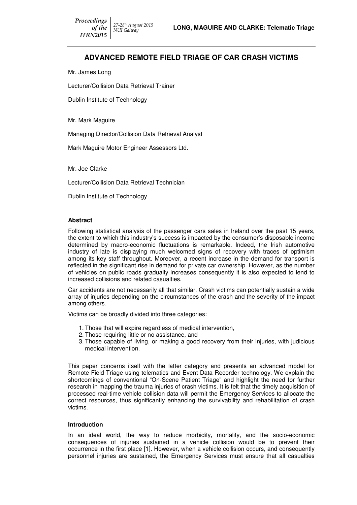### **ADVANCED REMOTE FIELD TRIAGE OF CAR CRASH VICTIMS**

Mr. James Long

**Proceedings** of the ITRN2015

Lecturer/Collision Data Retrieval Trainer

27-28th August 2015<br>NUI Galway

Dublin Institute of Technology

Mr. Mark Maguire

Managing Director/Collision Data Retrieval Analyst

Mark Maguire Motor Engineer Assessors Ltd.

Mr. Joe Clarke

Lecturer/Collision Data Retrieval Technician

Dublin Institute of Technology

#### **Abstract**

Following statistical analysis of the passenger cars sales in Ireland over the past 15 years, the extent to which this industry's success is impacted by the consumer's disposable income determined by macro-economic fluctuations is remarkable. Indeed, the Irish automotive industry of late is displaying much welcomed signs of recovery with traces of optimism among its key staff throughout. Moreover, a recent increase in the demand for transport is reflected in the significant rise in demand for private car ownership. However, as the number of vehicles on public roads gradually increases consequently it is also expected to lend to increased collisions and related casualties.

Car accidents are not necessarily all that similar. Crash victims can potentially sustain a wide array of injuries depending on the circumstances of the crash and the severity of the impact among others.

Victims can be broadly divided into three categories:

- 1. Those that will expire regardless of medical intervention,
- 2. Those requiring little or no assistance, and
- 3. Those capable of living, or making a good recovery from their injuries, with judicious medical intervention.

This paper concerns itself with the latter category and presents an advanced model for Remote Field Triage using telematics and Event Data Recorder technology. We explain the shortcomings of conventional "On-Scene Patient Triage" and highlight the need for further research in mapping the trauma injuries of crash victims. It is felt that the timely acquisition of processed real-time vehicle collision data will permit the Emergency Services to allocate the correct resources, thus significantly enhancing the survivability and rehabilitation of crash victims.

#### **Introduction**

In an ideal world, the way to reduce morbidity, mortality, and the socio-economic consequences of injuries sustained in a vehicle collision would be to prevent their occurrence in the first place [1]. However, when a vehicle collision occurs, and consequently personnel injuries are sustained, the Emergency Services must ensure that all casualties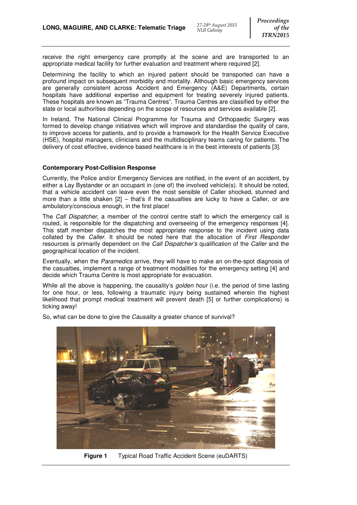receive the right emergency care promptly at the scene and are transported to an appropriate medical facility for further evaluation and treatment where required [2].

Determining the facility to which an injured patient should be transported can have a profound impact on subsequent morbidity and mortality. Although basic emergency services are generally consistent across Accident and Emergency (A&E) Departments, certain hospitals have additional expertise and equipment for treating severely injured patients. These hospitals are known as "Trauma Centres". Trauma Centres are classified by either the state or local authorities depending on the scope of resources and services available [2].

In Ireland, The National Clinical Programme for Trauma and Orthopaedic Surgery was formed to develop change initiatives which will improve and standardise the quality of care, to improve access for patients, and to provide a framework for the Health Service Executive (HSE), hospital managers, clinicians and the multidisciplinary teams caring for patients. The delivery of cost effective, evidence based healthcare is in the best interests of patients [3].

#### **Contemporary Post-Collision Response**

Currently, the Police and/or Emergency Services are notified, in the event of an accident, by either a Lay Bystander or an occupant in (one of) the involved vehicle(s). It should be noted, that a vehicle accident can leave even the most sensible of Caller shocked, stunned and more than a little shaken [2] – that's if the casualties are lucky to have a Caller, or are ambulatory/conscious enough, in the first place!

The Call Dispatcher, a member of the control centre staff to which the emergency call is routed, is responsible for the dispatching and overseeing of the emergency responses [4]. This staff member dispatches the most appropriate response to the incident using data collated by the Caller. It should be noted here that the allocation of First Responder resources is primarily dependent on the *Call Dispatcher's* qualification of the *Caller* and the geographical location of the incident.

Eventually, when the Paramedics arrive, they will have to make an on-the-spot diagnosis of the casualties, implement a range of treatment modalities for the emergency setting [4] and decide which Trauma Centre is most appropriate for evacuation.

While all the above is happening, the causality's *golden hour* (i.e. the period of time lasting for one hour, or less, following a traumatic injury being sustained wherein the highest likelihood that prompt medical treatment will prevent death [5] or further complications) is ticking away!

So, what can be done to give the Causality a greater chance of survival?



**Figure 1** Typical Road Traffic Accident Scene (euDARTS)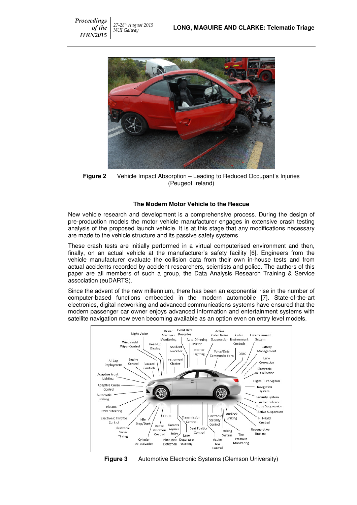**Proceedings** of the ITRN2015

27-28th August 2015<br>NUI Galway



**Figure 2** Vehicle Impact Absorption – Leading to Reduced Occupant's Injuries (Peugeot Ireland)

#### **The Modern Motor Vehicle to the Rescue**

New vehicle research and development is a comprehensive process. During the design of pre-production models the motor vehicle manufacturer engages in extensive crash testing analysis of the proposed launch vehicle. It is at this stage that any modifications necessary are made to the vehicle structure and its passive safety systems.

These crash tests are initially performed in a virtual computerised environment and then, finally, on an actual vehicle at the manufacturer's safety facility [6]. Engineers from the vehicle manufacturer evaluate the collision data from their own in-house tests and from actual accidents recorded by accident researchers, scientists and police. The authors of this paper are all members of such a group, the Data Analysis Research Training & Service association (euDARTS).

Since the advent of the new millennium, there has been an exponential rise in the number of computer-based functions embedded in the modern automobile [7]. State-of-the-art electronics, digital networking and advanced communications systems have ensured that the modern passenger car owner enjoys advanced information and entertainment systems with satellite navigation now even becoming available as an option even on entry level models.



**Figure 3** Automotive Electronic Systems (Clemson University)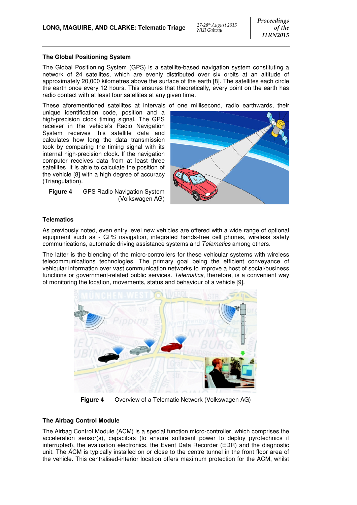NUI Galway

#### **The Global Positioning System**

The Global Positioning System (GPS) is a satellite-based navigation system constituting a network of 24 satellites, which are evenly distributed over six orbits at an altitude of approximately 20,000 kilometres above the surface of the earth [8]. The satellites each circle the earth once every 12 hours. This ensures that theoretically, every point on the earth has radio contact with at least four satellites at any given time.

These aforementioned satellites at intervals of one millisecond, radio earthwards, their

unique identification code, position and a high-precision clock timing signal. The GPS receiver in the vehicle's Radio Navigation System receives this satellite data and calculates how long the data transmission took by comparing the timing signal with its internal high-precision clock. If the navigation computer receives data from at least three satellites, it is able to calculate the position of the vehicle [8] with a high degree of accuracy (Triangulation).

**Figure 4** GPS Radio Navigation System (Volkswagen AG)



#### **Telematics**

As previously noted, even entry level new vehicles are offered with a wide range of optional equipment such as - GPS navigation, integrated hands-free cell phones, wireless safety communications, automatic driving assistance systems and Telematics among others.

The latter is the blending of the micro-controllers for these vehicular systems with wireless telecommunications technologies. The primary goal being the efficient conveyance of vehicular information over vast communication networks to improve a host of social/business functions or government-related public services. Telematics, therefore, is a convenient way of monitoring the location, movements, status and behaviour of a vehicle [9].



**Figure 4** Overview of a Telematic Network (Volkswagen AG)

#### **The Airbag Control Module**

The Airbag Control Module (ACM) is a special function micro-controller, which comprises the acceleration sensor(s), capacitors (to ensure sufficient power to deploy pyrotechnics if interrupted), the evaluation electronics, the Event Data Recorder (EDR) and the diagnostic unit. The ACM is typically installed on or close to the centre tunnel in the front floor area of the vehicle. This centralised-interior location offers maximum protection for the ACM, whilst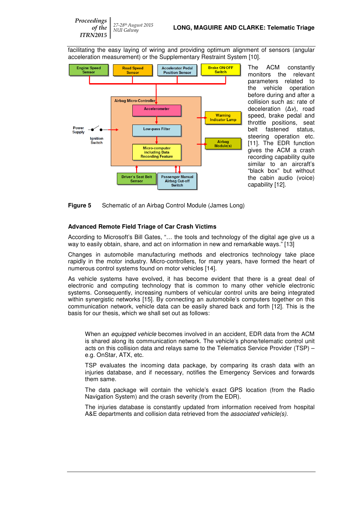**Proceedings** of the ITRN2015 27-28th August 2015<br>NUI Galway

facilitating the easy laying of wiring and providing optimum alignment of sensors (angular acceleration measurement) or the Supplementary Restraint System [10].



The ACM constantly monitors the relevant parameters related to the vehicle operation before during and after a collision such as: rate of deceleration (∆v), road speed, brake pedal and throttle positions, seat belt fastened status, steering operation etc. [11]. The EDR function gives the ACM a crash recording capability quite similar to an aircraft's "black box" but without the cabin audio (voice) capability [12].

**Figure 5** Schematic of an Airbag Control Module (James Long)

#### **Advanced Remote Field Triage of Car Crash Victims**

According to Microsoft's Bill Gates, "… the tools and technology of the digital age give us a way to easily obtain, share, and act on information in new and remarkable ways." [13]

Changes in automobile manufacturing methods and electronics technology take place rapidly in the motor industry. Micro-controllers, for many years, have formed the heart of numerous control systems found on motor vehicles [14].

As vehicle systems have evolved, it has become evident that there is a great deal of electronic and computing technology that is common to many other vehicle electronic systems. Consequently, increasing numbers of vehicular control units are being integrated within synergistic networks [15]. By connecting an automobile's computers together on this communication network, vehicle data can be easily shared back and forth [12]. This is the basis for our thesis, which we shall set out as follows:

When an *equipped vehicle* becomes involved in an accident, EDR data from the ACM is shared along its communication network. The vehicle's phone/telematic control unit acts on this collision data and relays same to the Telematics Service Provider (TSP) – e.g. OnStar, ATX, etc.

TSP evaluates the incoming data package, by comparing its crash data with an injuries database, and if necessary, notifies the Emergency Services and forwards them same.

The data package will contain the vehicle's exact GPS location (from the Radio Navigation System) and the crash severity (from the EDR).

The injuries database is constantly updated from information received from hospital A&E departments and collision data retrieved from the *associated vehicle(s)*.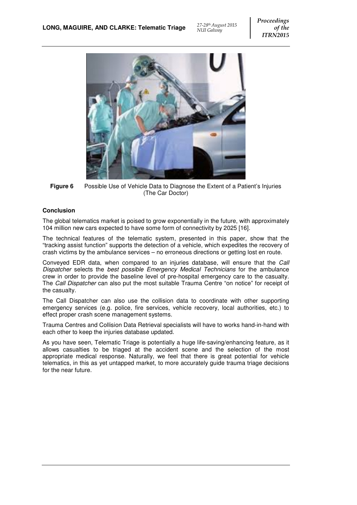

**Figure 6** Possible Use of Vehicle Data to Diagnose the Extent of a Patient's Injuries (The Car Doctor)

#### **Conclusion**

The global telematics market is poised to grow exponentially in the future, with approximately 104 million new cars expected to have some form of connectivity by 2025 [16].

The technical features of the telematic system, presented in this paper, show that the "tracking assist function" supports the detection of a vehicle, which expedites the recovery of crash victims by the ambulance services – no erroneous directions or getting lost en route.

Conveyed EDR data, when compared to an injuries database, will ensure that the Call Dispatcher selects the best possible Emergency Medical Technicians for the ambulance crew in order to provide the baseline level of pre-hospital emergency care to the casualty. The Call Dispatcher can also put the most suitable Trauma Centre "on notice" for receipt of the casualty.

The Call Dispatcher can also use the collision data to coordinate with other supporting emergency services (e.g. police, fire services, vehicle recovery, local authorities, etc.) to effect proper crash scene management systems.

Trauma Centres and Collision Data Retrieval specialists will have to works hand-in-hand with each other to keep the injuries database updated.

As you have seen, Telematic Triage is potentially a huge life-saving/enhancing feature, as it allows casualties to be triaged at the accident scene and the selection of the most appropriate medical response. Naturally, we feel that there is great potential for vehicle telematics, in this as yet untapped market, to more accurately guide trauma triage decisions for the near future.